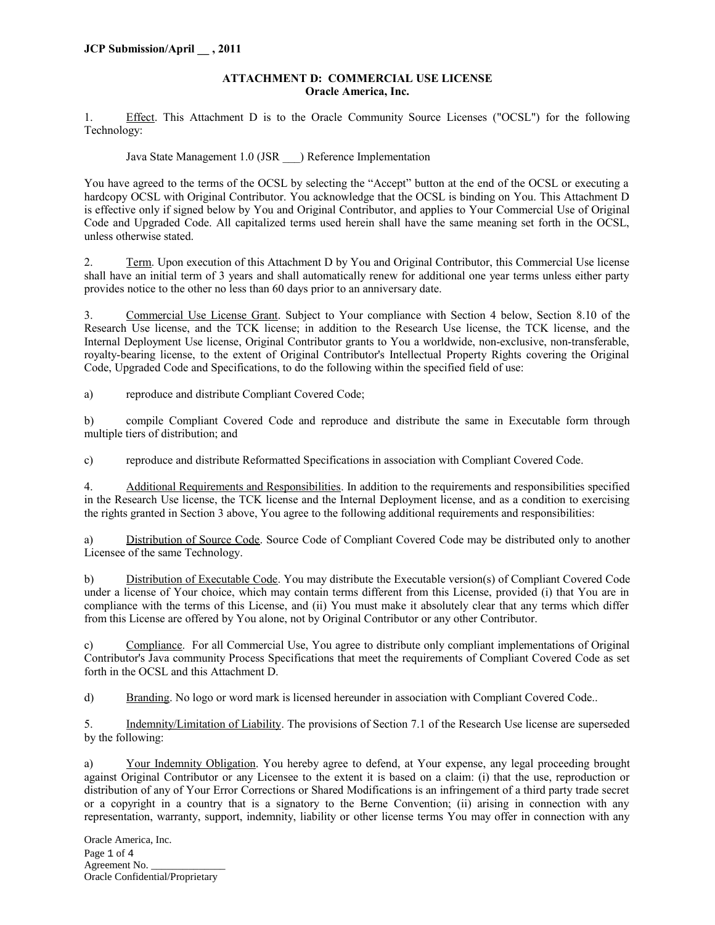#### **ATTACHMENT D: COMMERCIAL USE LICENSE Oracle America, Inc.**

1. Effect. This Attachment D is to the Oracle Community Source Licenses ("OCSL") for the following Technology:

Java State Management 1.0 (JSR \_\_\_) Reference Implementation

You have agreed to the terms of the OCSL by selecting the "Accept" button at the end of the OCSL or executing a hardcopy OCSL with Original Contributor. You acknowledge that the OCSL is binding on You. This Attachment D is effective only if signed below by You and Original Contributor, and applies to Your Commercial Use of Original Code and Upgraded Code. All capitalized terms used herein shall have the same meaning set forth in the OCSL, unless otherwise stated.

2. Term. Upon execution of this Attachment D by You and Original Contributor, this Commercial Use license shall have an initial term of 3 years and shall automatically renew for additional one year terms unless either party provides notice to the other no less than 60 days prior to an anniversary date.

3. Commercial Use License Grant. Subject to Your compliance with Section 4 below, Section 8.10 of the Research Use license, and the TCK license; in addition to the Research Use license, the TCK license, and the Internal Deployment Use license, Original Contributor grants to You a worldwide, non-exclusive, non-transferable, royalty-bearing license, to the extent of Original Contributor's Intellectual Property Rights covering the Original Code, Upgraded Code and Specifications, to do the following within the specified field of use:

a) reproduce and distribute Compliant Covered Code;

b) compile Compliant Covered Code and reproduce and distribute the same in Executable form through multiple tiers of distribution; and

c) reproduce and distribute Reformatted Specifications in association with Compliant Covered Code.

4. Additional Requirements and Responsibilities. In addition to the requirements and responsibilities specified in the Research Use license, the TCK license and the Internal Deployment license, and as a condition to exercising the rights granted in Section 3 above, You agree to the following additional requirements and responsibilities:

a) Distribution of Source Code. Source Code of Compliant Covered Code may be distributed only to another Licensee of the same Technology.

b) Distribution of Executable Code. You may distribute the Executable version(s) of Compliant Covered Code under a license of Your choice, which may contain terms different from this License, provided (i) that You are in compliance with the terms of this License, and (ii) You must make it absolutely clear that any terms which differ from this License are offered by You alone, not by Original Contributor or any other Contributor.

c) Compliance. For all Commercial Use, You agree to distribute only compliant implementations of Original Contributor's Java community Process Specifications that meet the requirements of Compliant Covered Code as set forth in the OCSL and this Attachment D.

d) Branding. No logo or word mark is licensed hereunder in association with Compliant Covered Code..

5. Indemnity/Limitation of Liability. The provisions of Section 7.1 of the Research Use license are superseded by the following:

a) Your Indemnity Obligation. You hereby agree to defend, at Your expense, any legal proceeding brought against Original Contributor or any Licensee to the extent it is based on a claim: (i) that the use, reproduction or distribution of any of Your Error Corrections or Shared Modifications is an infringement of a third party trade secret or a copyright in a country that is a signatory to the Berne Convention; (ii) arising in connection with any representation, warranty, support, indemnity, liability or other license terms You may offer in connection with any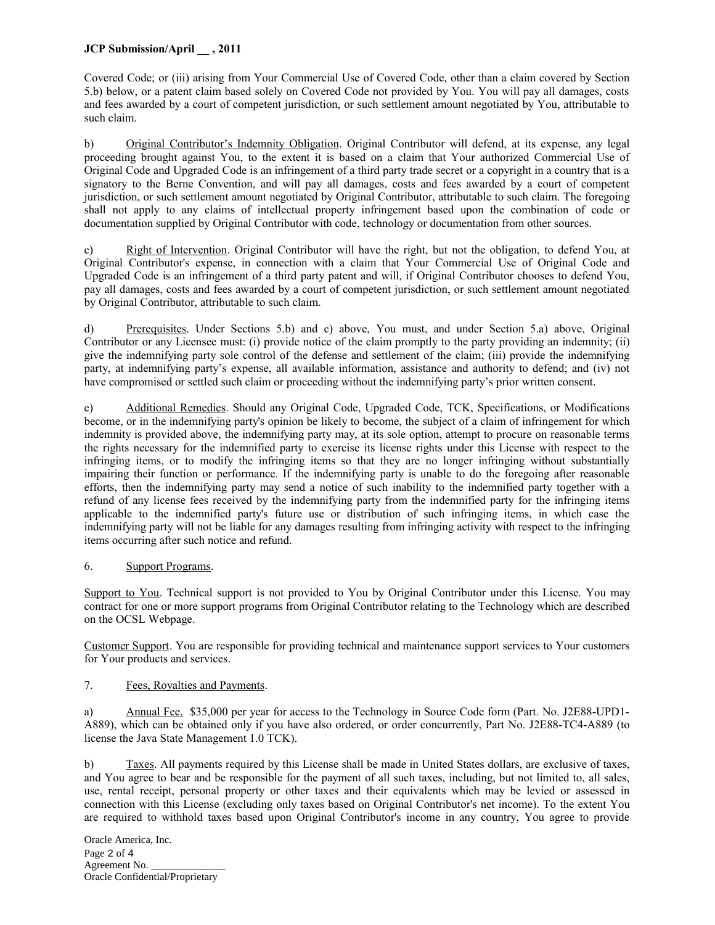## **JCP Submission/April \_\_ , 2011**

Covered Code; or (iii) arising from Your Commercial Use of Covered Code, other than a claim covered by Section 5.b) below, or a patent claim based solely on Covered Code not provided by You. You will pay all damages, costs and fees awarded by a court of competent jurisdiction, or such settlement amount negotiated by You, attributable to such claim.

b) Original Contributor's Indemnity Obligation. Original Contributor will defend, at its expense, any legal proceeding brought against You, to the extent it is based on a claim that Your authorized Commercial Use of Original Code and Upgraded Code is an infringement of a third party trade secret or a copyright in a country that is a signatory to the Berne Convention, and will pay all damages, costs and fees awarded by a court of competent jurisdiction, or such settlement amount negotiated by Original Contributor, attributable to such claim. The foregoing shall not apply to any claims of intellectual property infringement based upon the combination of code or documentation supplied by Original Contributor with code, technology or documentation from other sources.

c) Right of Intervention. Original Contributor will have the right, but not the obligation, to defend You, at Original Contributor's expense, in connection with a claim that Your Commercial Use of Original Code and Upgraded Code is an infringement of a third party patent and will, if Original Contributor chooses to defend You, pay all damages, costs and fees awarded by a court of competent jurisdiction, or such settlement amount negotiated by Original Contributor, attributable to such claim.

d) Prerequisites. Under Sections 5.b) and c) above, You must, and under Section 5.a) above, Original Contributor or any Licensee must: (i) provide notice of the claim promptly to the party providing an indemnity; (ii) give the indemnifying party sole control of the defense and settlement of the claim; (iii) provide the indemnifying party, at indemnifying party's expense, all available information, assistance and authority to defend; and (iv) not have compromised or settled such claim or proceeding without the indemnifying party's prior written consent.

e) Additional Remedies. Should any Original Code, Upgraded Code, TCK, Specifications, or Modifications become, or in the indemnifying party's opinion be likely to become, the subject of a claim of infringement for which indemnity is provided above, the indemnifying party may, at its sole option, attempt to procure on reasonable terms the rights necessary for the indemnified party to exercise its license rights under this License with respect to the infringing items, or to modify the infringing items so that they are no longer infringing without substantially impairing their function or performance. If the indemnifying party is unable to do the foregoing after reasonable efforts, then the indemnifying party may send a notice of such inability to the indemnified party together with a refund of any license fees received by the indemnifying party from the indemnified party for the infringing items applicable to the indemnified party's future use or distribution of such infringing items, in which case the indemnifying party will not be liable for any damages resulting from infringing activity with respect to the infringing items occurring after such notice and refund.

## 6. Support Programs.

Support to You. Technical support is not provided to You by Original Contributor under this License. You may contract for one or more support programs from Original Contributor relating to the Technology which are described on the OCSL Webpage.

Customer Support. You are responsible for providing technical and maintenance support services to Your customers for Your products and services.

### 7. Fees, Royalties and Payments.

a) Annual Fee. \$35,000 per year for access to the Technology in Source Code form (Part. No. J2E88-UPD1- A889), which can be obtained only if you have also ordered, or order concurrently, Part No. J2E88-TC4-A889 (to license the Java State Management 1.0 TCK).

b) Taxes. All payments required by this License shall be made in United States dollars, are exclusive of taxes, and You agree to bear and be responsible for the payment of all such taxes, including, but not limited to, all sales, use, rental receipt, personal property or other taxes and their equivalents which may be levied or assessed in connection with this License (excluding only taxes based on Original Contributor's net income). To the extent You are required to withhold taxes based upon Original Contributor's income in any country, You agree to provide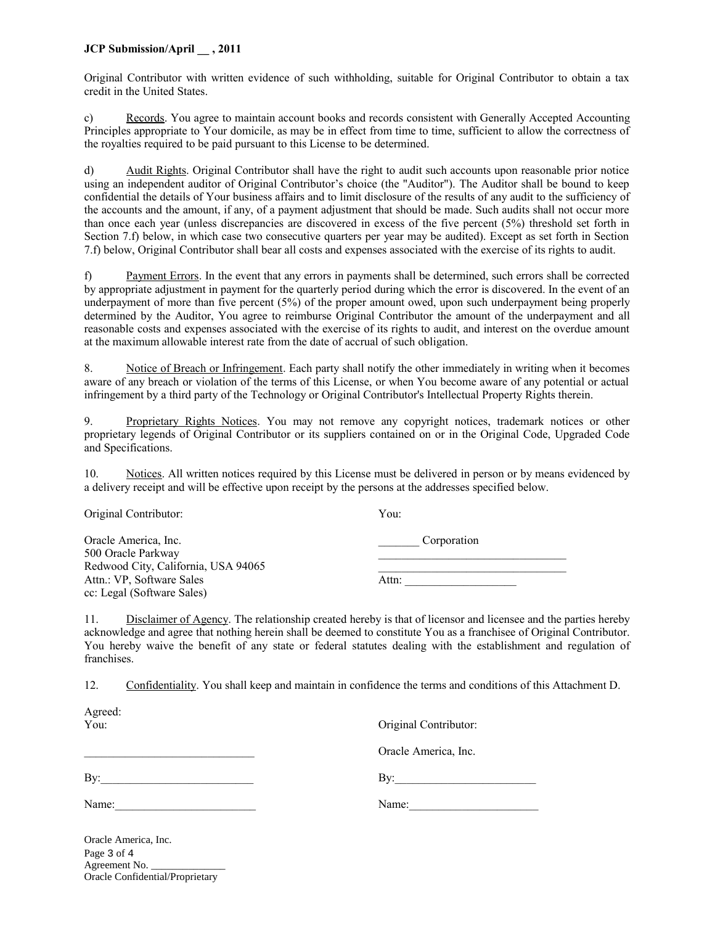### **JCP Submission/April \_\_ , 2011**

Original Contributor with written evidence of such withholding, suitable for Original Contributor to obtain a tax credit in the United States.

c) Records. You agree to maintain account books and records consistent with Generally Accepted Accounting Principles appropriate to Your domicile, as may be in effect from time to time, sufficient to allow the correctness of the royalties required to be paid pursuant to this License to be determined.

d) Audit Rights. Original Contributor shall have the right to audit such accounts upon reasonable prior notice using an independent auditor of Original Contributor's choice (the "Auditor"). The Auditor shall be bound to keep confidential the details of Your business affairs and to limit disclosure of the results of any audit to the sufficiency of the accounts and the amount, if any, of a payment adjustment that should be made. Such audits shall not occur more than once each year (unless discrepancies are discovered in excess of the five percent (5%) threshold set forth in Section 7.f) below, in which case two consecutive quarters per year may be audited). Except as set forth in Section 7.f) below, Original Contributor shall bear all costs and expenses associated with the exercise of its rights to audit.

f) Payment Errors. In the event that any errors in payments shall be determined, such errors shall be corrected by appropriate adjustment in payment for the quarterly period during which the error is discovered. In the event of an underpayment of more than five percent (5%) of the proper amount owed, upon such underpayment being properly determined by the Auditor, You agree to reimburse Original Contributor the amount of the underpayment and all reasonable costs and expenses associated with the exercise of its rights to audit, and interest on the overdue amount at the maximum allowable interest rate from the date of accrual of such obligation.

8. Notice of Breach or Infringement. Each party shall notify the other immediately in writing when it becomes aware of any breach or violation of the terms of this License, or when You become aware of any potential or actual infringement by a third party of the Technology or Original Contributor's Intellectual Property Rights therein.

9. Proprietary Rights Notices. You may not remove any copyright notices, trademark notices or other proprietary legends of Original Contributor or its suppliers contained on or in the Original Code, Upgraded Code and Specifications.

10. Notices. All written notices required by this License must be delivered in person or by means evidenced by a delivery receipt and will be effective upon receipt by the persons at the addresses specified below.

| Original Contributor:                      | You:        |
|--------------------------------------------|-------------|
| Oracle America, Inc.<br>500 Oracle Parkway | Corporation |
| Redwood City, California, USA 94065        |             |
| Attn.: VP, Software Sales                  | Attn:       |
| cc: Legal (Software Sales)                 |             |

11. Disclaimer of Agency. The relationship created hereby is that of licensor and licensee and the parties hereby acknowledge and agree that nothing herein shall be deemed to constitute You as a franchisee of Original Contributor. You hereby waive the benefit of any state or federal statutes dealing with the establishment and regulation of franchises.

12. Confidentiality. You shall keep and maintain in confidence the terms and conditions of this Attachment D.

| Agreed:<br>$Y$ ou: | Original Contributor:       |
|--------------------|-----------------------------|
|                    | Oracle America, Inc.        |
| By:                | $\mathbf{By:}\_\_\_\_\_\_\$ |
| Name:              | Name:                       |

Oracle America, Inc. Page 3 of 4 Agreement No. Oracle Confidential/Proprietary